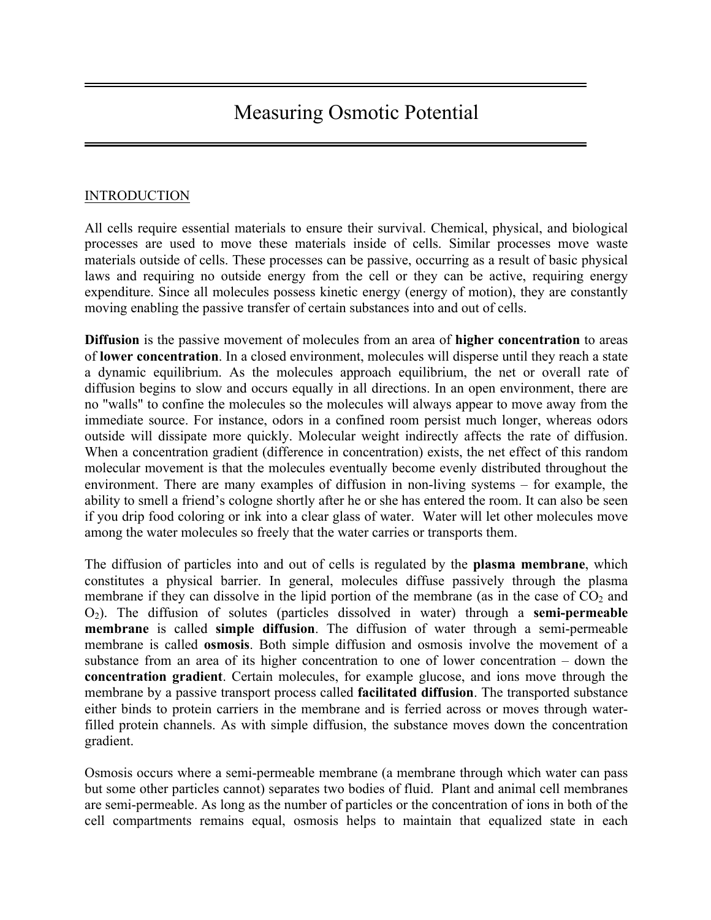# Measuring Osmotic Potential

## INTRODUCTION

All cells require essential materials to ensure their survival. Chemical, physical, and biological processes are used to move these materials inside of cells. Similar processes move waste materials outside of cells. These processes can be passive, occurring as a result of basic physical laws and requiring no outside energy from the cell or they can be active, requiring energy expenditure. Since all molecules possess kinetic energy (energy of motion), they are constantly moving enabling the passive transfer of certain substances into and out of cells.

**Diffusion** is the passive movement of molecules from an area of **higher concentration** to areas of **lower concentration**. In a closed environment, molecules will disperse until they reach a state a dynamic equilibrium. As the molecules approach equilibrium, the net or overall rate of diffusion begins to slow and occurs equally in all directions. In an open environment, there are no "walls" to confine the molecules so the molecules will always appear to move away from the immediate source. For instance, odors in a confined room persist much longer, whereas odors outside will dissipate more quickly. Molecular weight indirectly affects the rate of diffusion. When a concentration gradient (difference in concentration) exists, the net effect of this random molecular movement is that the molecules eventually become evenly distributed throughout the environment. There are many examples of diffusion in non-living systems – for example, the ability to smell a friend's cologne shortly after he or she has entered the room. It can also be seen if you drip food coloring or ink into a clear glass of water. Water will let other molecules move among the water molecules so freely that the water carries or transports them.

The diffusion of particles into and out of cells is regulated by the **plasma membrane**, which constitutes a physical barrier. In general, molecules diffuse passively through the plasma membrane if they can dissolve in the lipid portion of the membrane (as in the case of  $CO<sub>2</sub>$  and O2). The diffusion of solutes (particles dissolved in water) through a **semi-permeable membrane** is called **simple diffusion**. The diffusion of water through a semi-permeable membrane is called **osmosis**. Both simple diffusion and osmosis involve the movement of a substance from an area of its higher concentration to one of lower concentration – down the **concentration gradient**. Certain molecules, for example glucose, and ions move through the membrane by a passive transport process called **facilitated diffusion**. The transported substance either binds to protein carriers in the membrane and is ferried across or moves through waterfilled protein channels. As with simple diffusion, the substance moves down the concentration gradient.

Osmosis occurs where a semi-permeable membrane (a membrane through which water can pass but some other particles cannot) separates two bodies of fluid. Plant and animal cell membranes are semi-permeable. As long as the number of particles or the concentration of ions in both of the cell compartments remains equal, osmosis helps to maintain that equalized state in each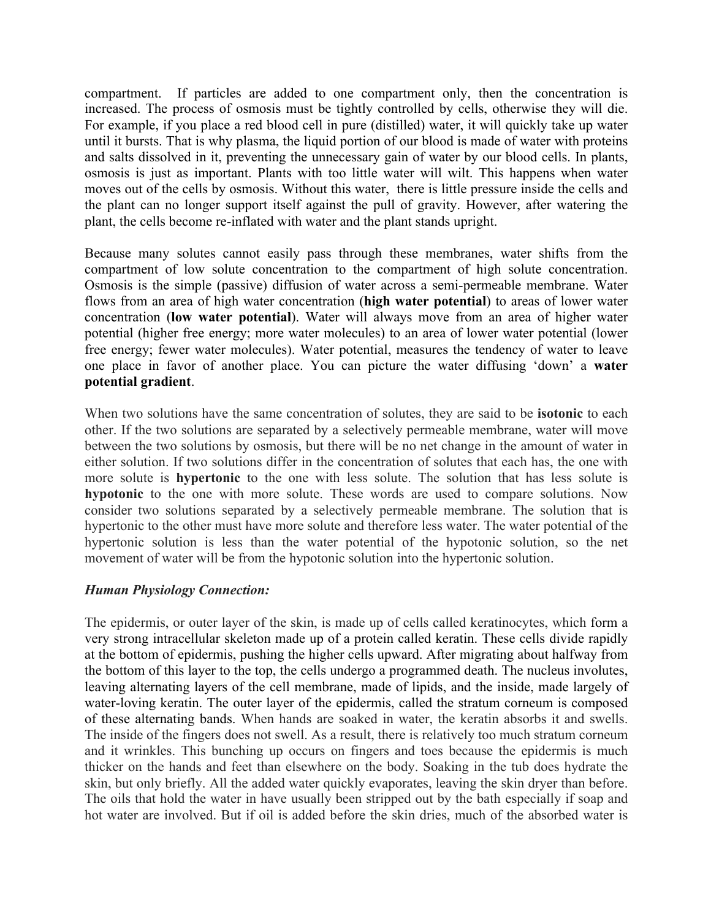compartment. If particles are added to one compartment only, then the concentration is increased. The process of osmosis must be tightly controlled by cells, otherwise they will die. For example, if you place a red blood cell in pure (distilled) water, it will quickly take up water until it bursts. That is why plasma, the liquid portion of our blood is made of water with proteins and salts dissolved in it, preventing the unnecessary gain of water by our blood cells. In plants, osmosis is just as important. Plants with too little water will wilt. This happens when water moves out of the cells by osmosis. Without this water, there is little pressure inside the cells and the plant can no longer support itself against the pull of gravity. However, after watering the plant, the cells become re-inflated with water and the plant stands upright.

Because many solutes cannot easily pass through these membranes, water shifts from the compartment of low solute concentration to the compartment of high solute concentration. Osmosis is the simple (passive) diffusion of water across a semi-permeable membrane. Water flows from an area of high water concentration (**high water potential**) to areas of lower water concentration (**low water potential**). Water will always move from an area of higher water potential (higher free energy; more water molecules) to an area of lower water potential (lower free energy; fewer water molecules). Water potential, measures the tendency of water to leave one place in favor of another place. You can picture the water diffusing 'down' a **water potential gradient**.

When two solutions have the same concentration of solutes, they are said to be **isotonic** to each other. If the two solutions are separated by a selectively permeable membrane, water will move between the two solutions by osmosis, but there will be no net change in the amount of water in either solution. If two solutions differ in the concentration of solutes that each has, the one with more solute is **hypertonic** to the one with less solute. The solution that has less solute is **hypotonic** to the one with more solute. These words are used to compare solutions. Now consider two solutions separated by a selectively permeable membrane. The solution that is hypertonic to the other must have more solute and therefore less water. The water potential of the hypertonic solution is less than the water potential of the hypotonic solution, so the net movement of water will be from the hypotonic solution into the hypertonic solution.

### *Human Physiology Connection:*

The epidermis, or outer layer of the skin, is made up of cells called keratinocytes, which form a very strong intracellular skeleton made up of a protein called keratin. These cells divide rapidly at the bottom of epidermis, pushing the higher cells upward. After migrating about halfway from the bottom of this layer to the top, the cells undergo a programmed death. The nucleus involutes, leaving alternating layers of the cell membrane, made of lipids, and the inside, made largely of water-loving keratin. The outer layer of the epidermis, called the stratum corneum is composed of these alternating bands. When hands are soaked in water, the keratin absorbs it and swells. The inside of the fingers does not swell. As a result, there is relatively too much stratum corneum and it wrinkles. This bunching up occurs on fingers and toes because the epidermis is much thicker on the hands and feet than elsewhere on the body. Soaking in the tub does hydrate the skin, but only briefly. All the added water quickly evaporates, leaving the skin dryer than before. The oils that hold the water in have usually been stripped out by the bath especially if soap and hot water are involved. But if oil is added before the skin dries, much of the absorbed water is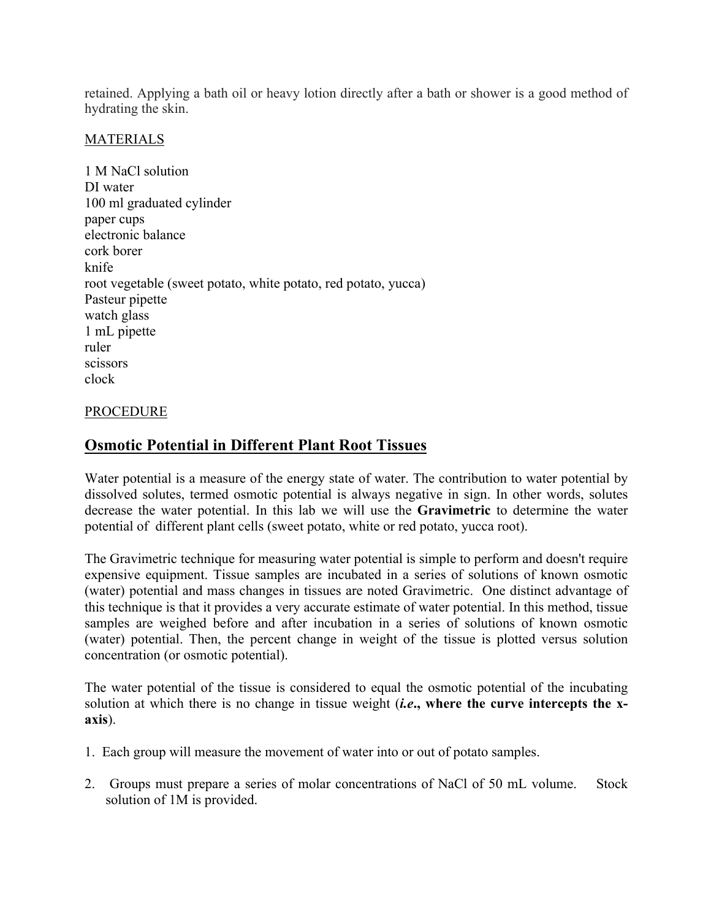retained. Applying a bath oil or heavy lotion directly after a bath or shower is a good method of hydrating the skin.

### MATERIALS

1 M NaCl solution DI water 100 ml graduated cylinder paper cups electronic balance cork borer knife root vegetable (sweet potato, white potato, red potato, yucca) Pasteur pipette watch glass 1 mL pipette ruler scissors clock

### PROCEDURE

# **Osmotic Potential in Different Plant Root Tissues**

Water potential is a measure of the energy state of water. The contribution to water potential by dissolved solutes, termed osmotic potential is always negative in sign. In other words, solutes decrease the water potential. In this lab we will use the **Gravimetric** to determine the water potential of different plant cells (sweet potato, white or red potato, yucca root).

The Gravimetric technique for measuring water potential is simple to perform and doesn't require expensive equipment. Tissue samples are incubated in a series of solutions of known osmotic (water) potential and mass changes in tissues are noted Gravimetric. One distinct advantage of this technique is that it provides a very accurate estimate of water potential. In this method, tissue samples are weighed before and after incubation in a series of solutions of known osmotic (water) potential. Then, the percent change in weight of the tissue is plotted versus solution concentration (or osmotic potential).

The water potential of the tissue is considered to equal the osmotic potential of the incubating solution at which there is no change in tissue weight (*i.e***., where the curve intercepts the xaxis**).

- 1. Each group will measure the movement of water into or out of potato samples.
- 2. Groups must prepare a series of molar concentrations of NaCl of 50 mL volume. Stock solution of 1M is provided.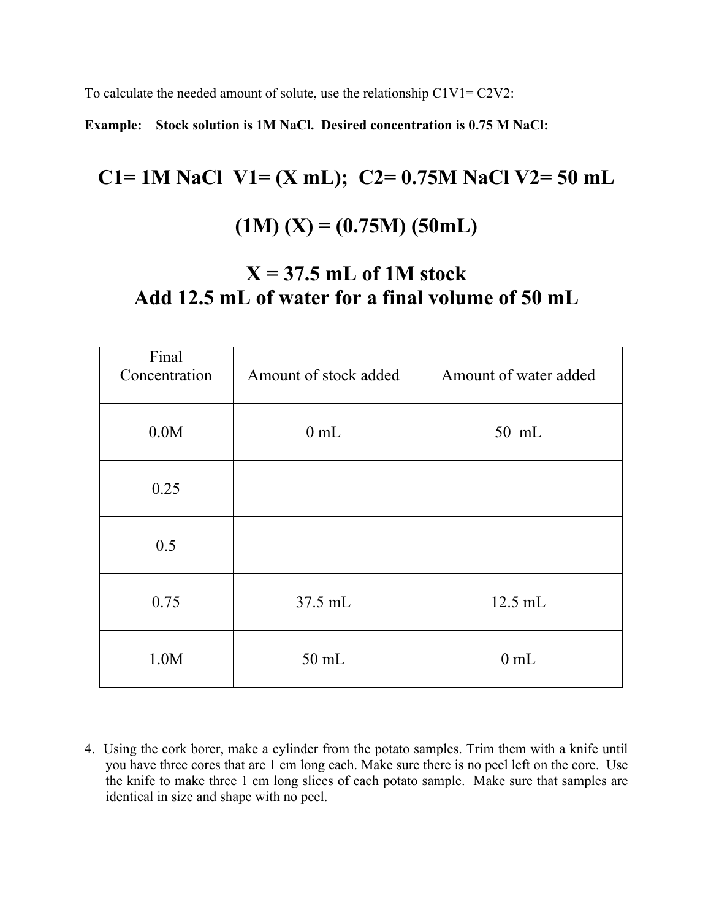To calculate the needed amount of solute, use the relationship C1V1= C2V2:

**Example: Stock solution is 1M NaCl. Desired concentration is 0.75 M NaCl:**

# **C1= 1M NaCl V1= (X mL); C2= 0.75M NaCl V2= 50 mL (1M) (X) = (0.75M) (50mL)**

# **X = 37.5 mL of 1M stock Add 12.5 mL of water for a final volume of 50 mL**

| Final<br>Concentration | Amount of stock added | Amount of water added |
|------------------------|-----------------------|-----------------------|
| 0.0M                   | $0$ mL                | 50 mL                 |
| 0.25                   |                       |                       |
| 0.5                    |                       |                       |
| 0.75                   | 37.5 mL               | 12.5 mL               |
| 1.0M                   | 50 mL                 | $0$ mL                |

4. Using the cork borer, make a cylinder from the potato samples. Trim them with a knife until you have three cores that are 1 cm long each. Make sure there is no peel left on the core. Use the knife to make three 1 cm long slices of each potato sample. Make sure that samples are identical in size and shape with no peel.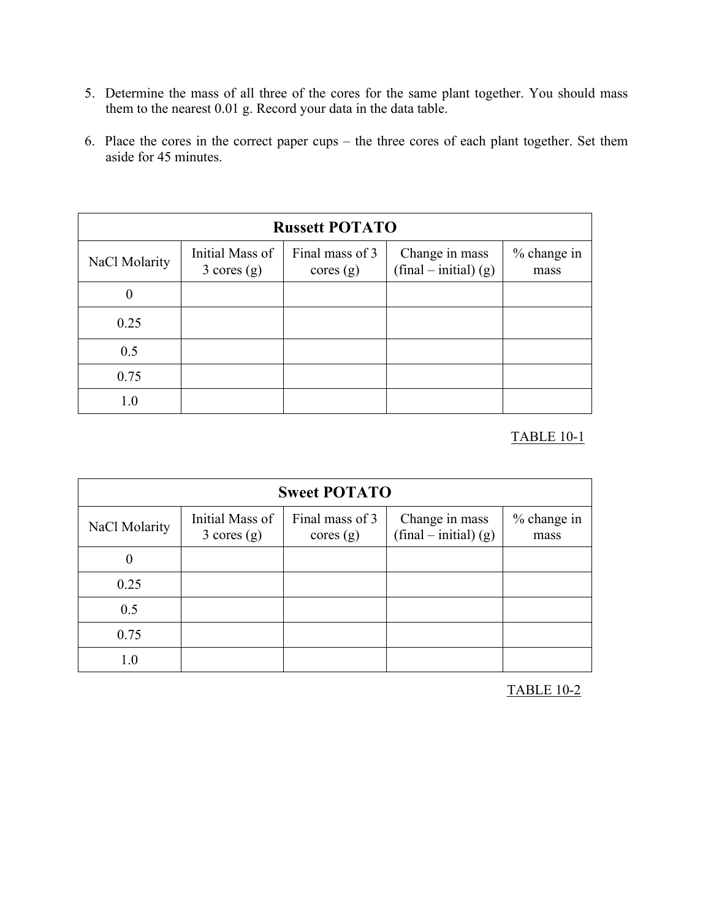- 5. Determine the mass of all three of the cores for the same plant together. You should mass them to the nearest 0.01 g. Record your data in the data table.
- 6. Place the cores in the correct paper cups the three cores of each plant together. Set them aside for 45 minutes.

| <b>Russett POTATO</b> |                                          |                             |                                           |                       |
|-----------------------|------------------------------------------|-----------------------------|-------------------------------------------|-----------------------|
| NaCl Molarity         | Initial Mass of<br>$3 \text{ cores (g)}$ | Final mass of 3<br>cores(g) | Change in mass<br>$(final - initial) (g)$ | $%$ change in<br>mass |
| $\theta$              |                                          |                             |                                           |                       |
| 0.25                  |                                          |                             |                                           |                       |
| 0.5                   |                                          |                             |                                           |                       |
| 0.75                  |                                          |                             |                                           |                       |
| $1.0\,$               |                                          |                             |                                           |                       |

# TABLE 10-1

| <b>Sweet POTATO</b> |                                          |                             |                                           |                     |
|---------------------|------------------------------------------|-----------------------------|-------------------------------------------|---------------------|
| NaCl Molarity       | Initial Mass of<br>$3 \text{ cores (g)}$ | Final mass of 3<br>cores(g) | Change in mass<br>$(final - initial)$ (g) | % change in<br>mass |
| $\theta$            |                                          |                             |                                           |                     |
| 0.25                |                                          |                             |                                           |                     |
| 0.5                 |                                          |                             |                                           |                     |
| 0.75                |                                          |                             |                                           |                     |
| 1.0                 |                                          |                             |                                           |                     |

TABLE 10-2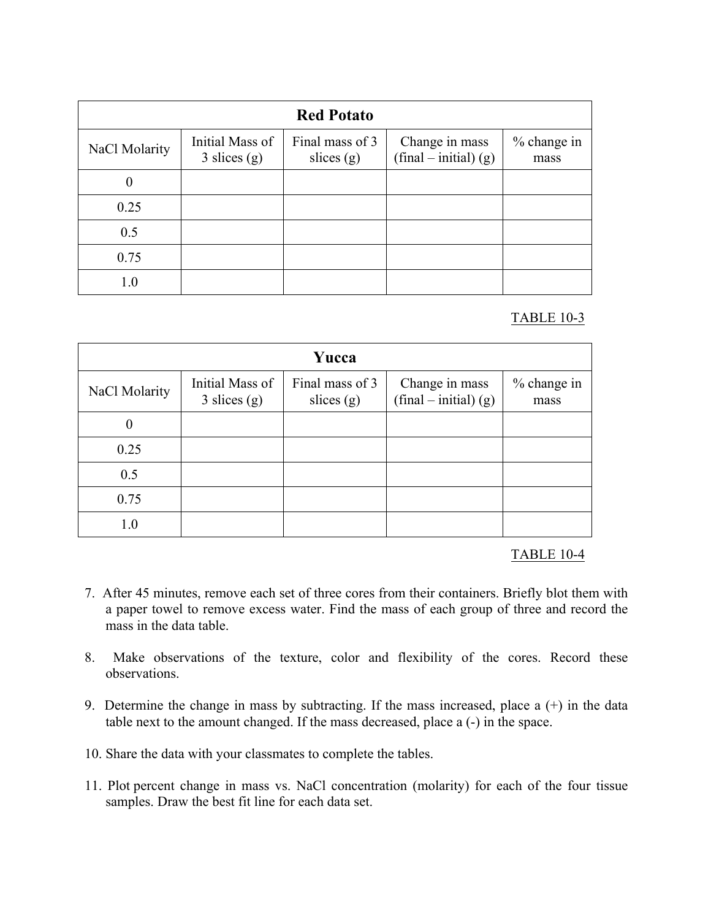| <b>Red Potato</b> |                                           |                                 |                                           |                     |
|-------------------|-------------------------------------------|---------------------------------|-------------------------------------------|---------------------|
| NaCl Molarity     | Initial Mass of<br>$3 \text{ slices} (g)$ | Final mass of 3<br>slices $(g)$ | Change in mass<br>$(final - initial) (g)$ | % change in<br>mass |
| $\overline{0}$    |                                           |                                 |                                           |                     |
| 0.25              |                                           |                                 |                                           |                     |
| 0.5               |                                           |                                 |                                           |                     |
| 0.75              |                                           |                                 |                                           |                     |
| 1.0               |                                           |                                 |                                           |                     |

## TABLE 10-3

| Yucca         |                                           |                                 |                                           |                     |
|---------------|-------------------------------------------|---------------------------------|-------------------------------------------|---------------------|
| NaCl Molarity | Initial Mass of<br>$3 \text{ slices (g)}$ | Final mass of 3<br>slices $(g)$ | Change in mass<br>$(final - initial)$ (g) | % change in<br>mass |
| 0             |                                           |                                 |                                           |                     |
| 0.25          |                                           |                                 |                                           |                     |
| 0.5           |                                           |                                 |                                           |                     |
| 0.75          |                                           |                                 |                                           |                     |
|               |                                           |                                 |                                           |                     |

### TABLE 10-4

- 7. After 45 minutes, remove each set of three cores from their containers. Briefly blot them with a paper towel to remove excess water. Find the mass of each group of three and record the mass in the data table.
- 8. Make observations of the texture, color and flexibility of the cores. Record these observations.
- 9. Determine the change in mass by subtracting. If the mass increased, place a (+) in the data table next to the amount changed. If the mass decreased, place a (-) in the space.
- 10. Share the data with your classmates to complete the tables.
- 11. Plot percent change in mass vs. NaCl concentration (molarity) for each of the four tissue samples. Draw the best fit line for each data set.